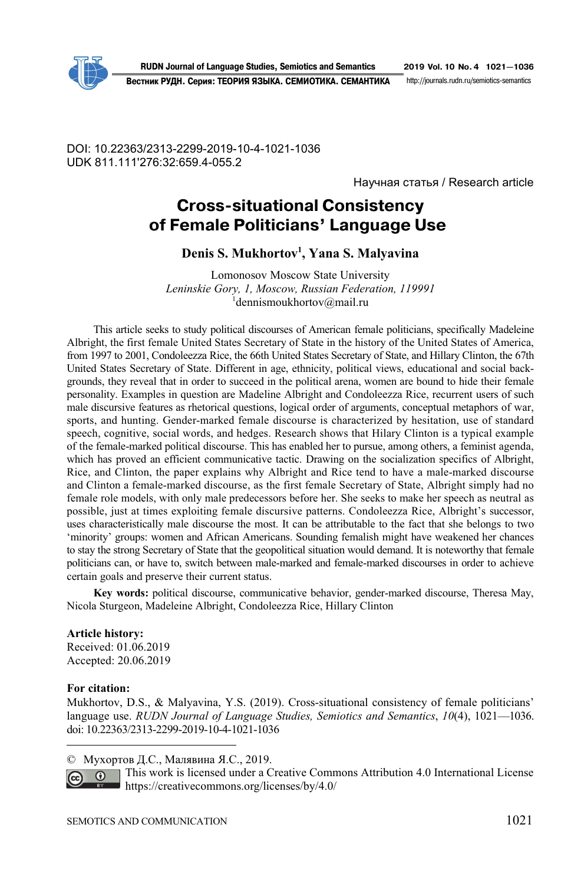

**RUDN Journal of Language Studies, Semiotics and Semantics 2019 Vol. 10 No. 4 1021—1036**

**Вестник РУДН. Серия: ТЕОРИЯ ЯЗЫКА. СЕМИОТИКА. СЕМАНТИКА** http://journals.rudn.ru/semioticssemantics

DOI: 10.22363/2313-2299-2019-10-4-1021-1036 UDK 811.111'276:32:659.4-055.2

Научная статья / Research article

# **Cross-situational Consistency of Female Politicians' Language Use**

**Denis S. Mukhortov1 , Yana S. Malyavina** 

Lomonosov Moscow State University *Leninskie Gory, 1, Moscow, Russian Federation, 119991* 1 dennismoukhortov@mail.ru

This article seeks to study political discourses of American female politicians, specifically Madeleine Albright, the first female United States Secretary of State in the history of the United States of America, from 1997 to 2001, Condoleezza Rice, the 66th United States Secretary of State, and Hillary Clinton, the 67th United States Secretary of State. Different in age, ethnicity, political views, educational and social backgrounds, they reveal that in order to succeed in the political arena, women are bound to hide their female personality. Examples in question are Madeline Albright and Condoleezza Rice, recurrent users of such male discursive features as rhetorical questions, logical order of arguments, conceptual metaphors of war, sports, and hunting. Gender-marked female discourse is characterized by hesitation, use of standard speech, cognitive, social words, and hedges. Research shows that Hilary Clinton is a typical example of the female-marked political discourse. This has enabled her to pursue, among others, a feminist agenda, which has proved an efficient communicative tactic. Drawing on the socialization specifics of Albright, Rice, and Clinton, the paper explains why Albright and Rice tend to have a male-marked discourse and Clinton a female-marked discourse, as the first female Secretary of State, Albright simply had no female role models, with only male predecessors before her. She seeks to make her speech as neutral as possible, just at times exploiting female discursive patterns. Condoleezza Rice, Albright's successor, uses characteristically male discourse the most. It can be attributable to the fact that she belongs to two 'minority' groups: women and African Americans. Sounding femalish might have weakened her chances to stay the strong Secretary of State that the geopolitical situation would demand. It is noteworthy that female politicians can, or have to, switch between male-marked and female-marked discourses in order to achieve certain goals and preserve their current status.

**Key words:** political discourse, communicative behavior, gender-marked discourse, Theresa May, Nicola Sturgeon, Madeleine Albright, Condoleezza Rice, Hillary Clinton

#### **Article history:**

Received: 01.06.2019 Accepted: 20.06.2019

#### **For citation:**

 $\overline{a}$ 

Mukhortov, D.S., & Malyavina, Y.S. (2019). Cross-situational consistency of female politicians' language use. *RUDN Journal of Language Studies, Semiotics and Semantics*, *10*(4), 1021—1036. doi: 10.22363/2313-2299-2019-10-4-1021-1036

© Мухортов Д.С., Малявина Я.С., 2019.

This work is licensed under a Creative Commons Attribution 4.0 International License  $\overline{0}$ https://creativecommons.org/licenses/by/4.0/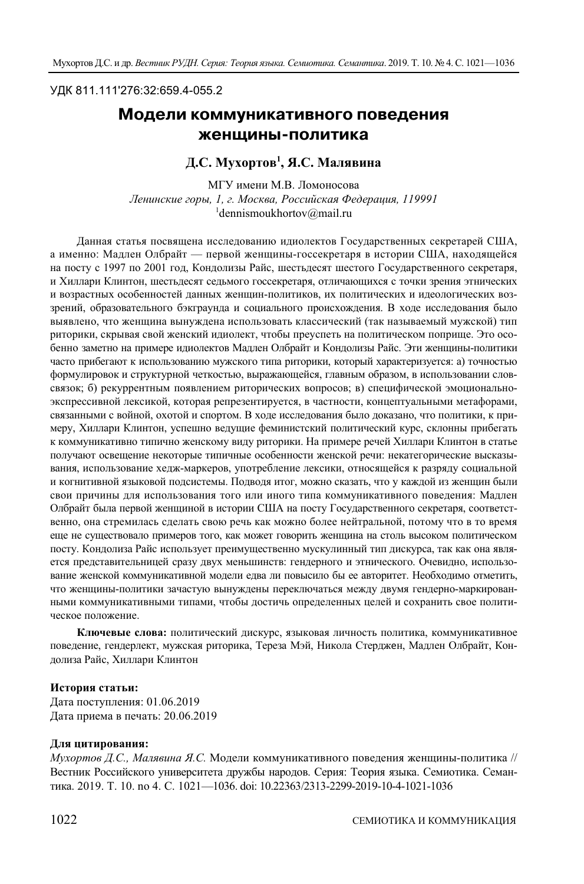#### УДК 811.111'276:32:659.4-055.2

## **Модели коммуникативного поведения женщины/политика**

## **Д.С. Мухортов1 , Я.С. Малявина**

МГУ имени М.В. Ломоносова *Ленинские горы, 1, г. Москва, Российская Федерация, 119991* 1 dennismoukhortov@mail.ru

Данная статья посвящена исследованию идиолектов Государственных секретарей США, а именно: Мадлен Олбрайт — первой женщины-госсекретаря в истории США, находящейся на посту с 1997 по 2001 год, Кондолизы Райс, шестьдесят шестого Государственного секретаря, и Хиллари Клинтон, шестьдесят седьмого госсекретаря, отличающихся с точки зрения этнических и возрастных особенностей данных женщин-политиков, их политических и идеологических воззрений, образовательного бэкграунда и социального происхождения. В ходе исследования было выявлено, что женщина вынуждена использовать классический (так называемый мужской) тип риторики, скрывая свой женский идиолект, чтобы преуспеть на политическом поприще. Это особенно заметно на примере идиолектов Мадлен Олбрайт и Кондолизы Райс. Эти женщины-политики часто прибегают к использованию мужского типа риторики, который характеризуется: а) точностью формулировок и структурной четкостью, выражающейся, главным образом, в использовании словсвязок; б) рекуррентным появлением риторических вопросов; в) специфической эмоциональноэкспрессивной лексикой, которая репрезентируется, в частности, концептуальными метафорами, связанными с войной, охотой и спортом. В ходе исследования было доказано, что политики, к примеру, Хиллари Клинтон, успешно ведущие феминистский политический курс, склонны прибегать к коммуникативно типично женскому виду риторики. На примере речей Хиллари Клинтон в статье получают освещение некоторые типичные особенности женской речи: некатегорические высказывания, использование хедж-маркеров, употребление лексики, относящейся к разряду социальной и когнитивной языковой подсистемы. Подводя итог, можно сказать, что у каждой из женщин были свои причины для использования того или иного типа коммуникативного поведения: Мадлен Олбрайт была первой женщиной в истории США на посту Государственного секретаря, соответственно, она стремилась сделать свою речь как можно более нейтральной, потому что в то время еще не существовало примеров того, как может говорить женщина на столь высоком политическом посту. Кондолиза Райс использует преимущественно мускулинный тип дискурса, так как она является представительницей сразу двух меньшинств: гендерного и этнического. Очевидно, использование женской коммуникативной модели едва ли повысило бы ее авторитет. Необходимо отметить, что женщины-политики зачастую вынуждены переключаться между двумя гендерно-маркированными коммуникативными типами, чтобы достичь определенных целей и сохранить свое политическое положение.

**Ключевые слова:** политический дискурс, языковая личность политика, коммуникативное поведение, гендерлект, мужская риторика, Тереза Мэй, Никола Стерджен, Мадлен Олбрайт, Кондолиза Райс, Хиллари Клинтон

#### **История статьи:**

Дата поступления: 01.06.2019 Дата приема в печать: 20.06.2019

#### **Для цитирования:**

*Мухортов Д.С., Малявина Я.С.* Модели коммуникативного поведения женщины-политика // Вестник Российского университета дружбы народов. Серия: Теория языка. Семиотика. Семантика. 2019. Т. 10. no 4. С. 1021—1036. doi: 10.22363/2313-2299-2019-10-4-1021-1036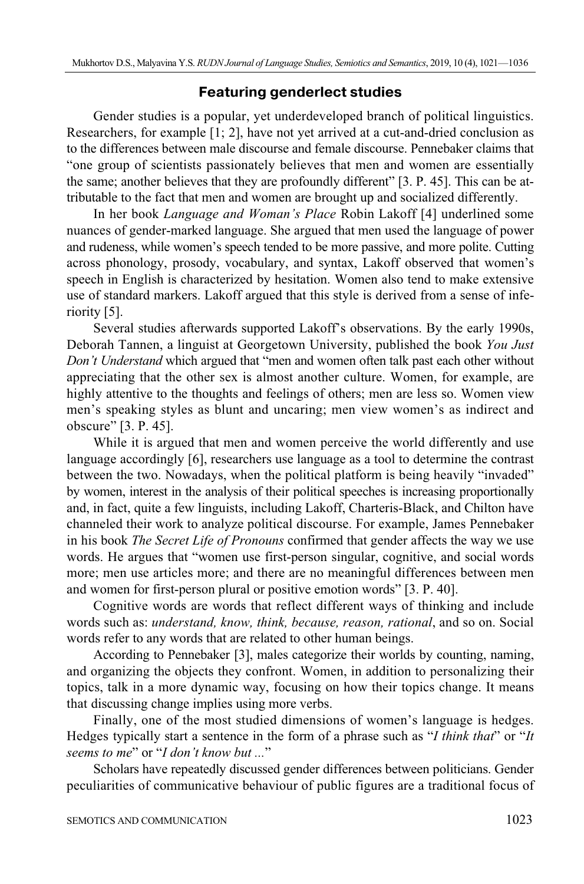## **Featuring genderlect studies**

Gender studies is a popular, yet underdeveloped branch of political linguistics. Researchers, for example [1; 2], have not yet arrived at a cut-and-dried conclusion as to the differences between male discourse and female discourse. Pennebaker claims that "one group of scientists passionately believes that men and women are essentially the same; another believes that they are profoundly different" [3. P. 45]. This can be attributable to the fact that men and women are brought up and socialized differently.

In her book *Language and Woman's Place* Robin Lakoff [4] underlined some nuances of gender-marked language. She argued that men used the language of power and rudeness, while women's speech tended to be more passive, and more polite. Cutting across phonology, prosody, vocabulary, and syntax, Lakoff observed that women's speech in English is characterized by hesitation. Women also tend to make extensive use of standard markers. Lakoff argued that this style is derived from a sense of inferiority [5].

Several studies afterwards supported Lakoff's observations. By the early 1990s, Deborah Tannen, a linguist at Georgetown University, published the book *You Just Don't Understand* which argued that "men and women often talk past each other without appreciating that the other sex is almost another culture. Women, for example, are highly attentive to the thoughts and feelings of others; men are less so. Women view men's speaking styles as blunt and uncaring; men view women's as indirect and obscure" [3. P. 45].

While it is argued that men and women perceive the world differently and use language accordingly [6], researchers use language as a tool to determine the contrast between the two. Nowadays, when the political platform is being heavily "invaded" by women, interest in the analysis of their political speeches is increasing proportionally and, in fact, quite a few linguists, including Lakoff, Charteris-Black, and Chilton have channeled their work to analyze political discourse. For example, James Pennebaker in his book *The Secret Life of Pronouns* confirmed that gender affects the way we use words. He argues that "women use first-person singular, cognitive, and social words more; men use articles more; and there are no meaningful differences between men and women for first-person plural or positive emotion words" [3. P. 40].

Cognitive words are words that reflect different ways of thinking and include words such as: *understand, know, think, because, reason, rational*, and so on. Social words refer to any words that are related to other human beings.

According to Pennebaker [3], males categorize their worlds by counting, naming, and organizing the objects they confront. Women, in addition to personalizing their topics, talk in a more dynamic way, focusing on how their topics change. It means that discussing change implies using more verbs.

Finally, one of the most studied dimensions of women's language is hedges. Hedges typically start a sentence in the form of a phrase such as "*I think that*" or "*It seems to me*" or "*I don't know but ...*"

Scholars have repeatedly discussed gender differences between politicians. Gender peculiarities of communicative behaviour of public figures are a traditional focus of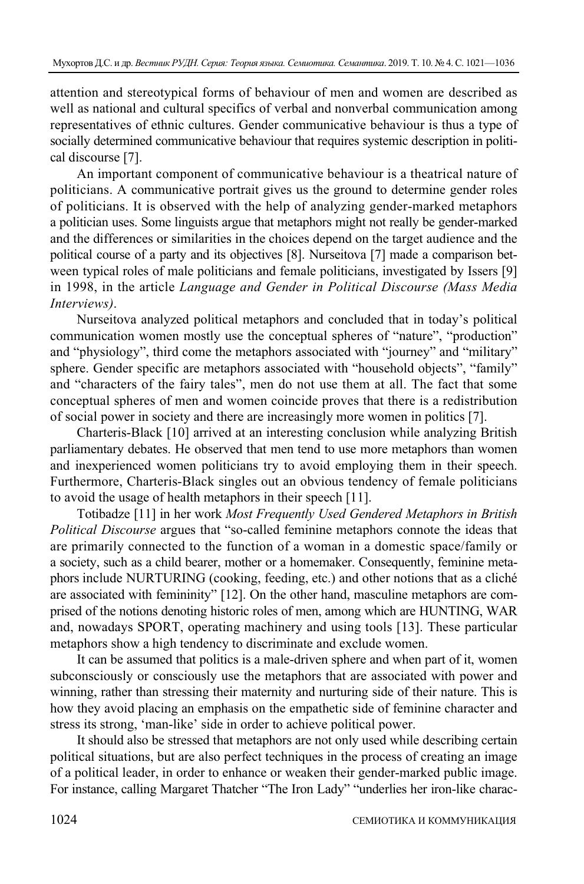attention and stereotypical forms of behaviour of men and women are described as well as national and cultural specifics of verbal and nonverbal communication among representatives of ethnic cultures. Gender communicative behaviour is thus a type of socially determined communicative behaviour that requires systemic description in political discourse [7].

An important component of communicative behaviour is a theatrical nature of politicians. A communicative portrait gives us the ground to determine gender roles of politicians. It is observed with the help of analyzing gender-marked metaphors a politician uses. Some linguists argue that metaphors might not really be gender-marked and the differences or similarities in the choices depend on the target audience and the political course of a party and its objectives [8]. Nurseitova [7] made a comparison between typical roles of male politicians and female politicians, investigated by Issers [9] in 1998, in the article *Language and Gender in Political Discourse (Mass Media Interviews)*.

Nurseitova analyzed political metaphors and concluded that in today's political communication women mostly use the conceptual spheres of "nature", "production" and "physiology", third come the metaphors associated with "journey" and "military" sphere. Gender specific are metaphors associated with "household objects", "family" and "characters of the fairy tales", men do not use them at all. The fact that some conceptual spheres of men and women coincide proves that there is a redistribution of social power in society and there are increasingly more women in politics [7].

Charteris-Black [10] arrived at an interesting conclusion while analyzing British parliamentary debates. He observed that men tend to use more metaphors than women and inexperienced women politicians try to avoid employing them in their speech. Furthermore, Charteris-Black singles out an obvious tendency of female politicians to avoid the usage of health metaphors in their speech [11].

Totibadze [11] in her work *Most Frequently Used Gendered Metaphors in British Political Discourse* argues that "so-called feminine metaphors connote the ideas that are primarily connected to the function of a woman in a domestic space/family or a society, such as a child bearer, mother or a homemaker. Consequently, feminine metaphors include NURTURING (cooking, feeding, etc.) and other notions that as a cliché are associated with femininity" [12]. On the other hand, masculine metaphors are comprised of the notions denoting historic roles of men, among which are HUNTING, WAR and, nowadays SPORT, operating machinery and using tools [13]. These particular metaphors show a high tendency to discriminate and exclude women.

It can be assumed that politics is a male-driven sphere and when part of it, women subconsciously or consciously use the metaphors that are associated with power and winning, rather than stressing their maternity and nurturing side of their nature. This is how they avoid placing an emphasis on the empathetic side of feminine character and stress its strong, 'man-like' side in order to achieve political power.

It should also be stressed that metaphors are not only used while describing certain political situations, but are also perfect techniques in the process of creating an image of a political leader, in order to enhance or weaken their gender-marked public image. For instance, calling Margaret Thatcher "The Iron Lady" "underlies her iron-like charac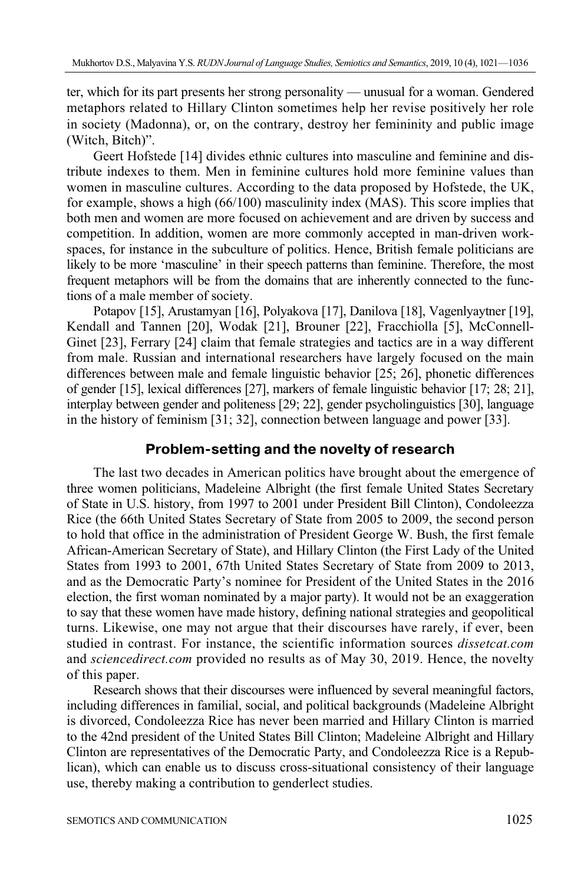ter, which for its part presents her strong personality — unusual for a woman. Gendered metaphors related to Hillary Clinton sometimes help her revise positively her role in society (Madonna), or, on the contrary, destroy her femininity and public image (Witch, Bitch)".

Geert Hofstede [14] divides ethnic cultures into masculine and feminine and distribute indexes to them. Men in feminine cultures hold more feminine values than women in masculine cultures. According to the data proposed by Hofstede, the UK, for example, shows a high (66/100) masculinity index (MAS). This score implies that both men and women are more focused on achievement and are driven by success and competition. In addition, women are more commonly accepted in man-driven workspaces, for instance in the subculture of politics. Hence, British female politicians are likely to be more 'masculine' in their speech patterns than feminine. Therefore, the most frequent metaphors will be from the domains that are inherently connected to the functions of a male member of society.

Potapov [15], Arustamyan [16], Polyakova [17], Danilova [18], Vagenlyaytner [19], Kendall and Tannen [20], Wodak [21], Brouner [22], Fracchiolla [5], McConnell-Ginet [23], Ferrary [24] claim that female strategies and tactics are in a way different from male. Russian and international researchers have largely focused on the main differences between male and female linguistic behavior [25; 26], phonetic differences of gender [15], lexical differences [27], markers of female linguistic behavior [17; 28; 21], interplay between gender and politeness [29; 22], gender psycholinguistics [30], language in the history of feminism [31; 32], connection between language and power [33].

## **Problem/setting and the novelty of research**

The last two decades in American politics have brought about the emergence of three women politicians, Madeleine Albright (the first female United States Secretary of State in U.S. history, from 1997 to 2001 under President Bill Clinton), Condoleezza Rice (the 66th United States Secretary of State from 2005 to 2009, the second person to hold that office in the administration of President George W. Bush, the first female African-American Secretary of State), and Hillary Clinton (the First Lady of the United States from 1993 to 2001, 67th United States Secretary of State from 2009 to 2013, and as the Democratic Party's nominee for President of the United States in the 2016 election, the first woman nominated by a major party). It would not be an exaggeration to say that these women have made history, defining national strategies and geopolitical turns. Likewise, one may not argue that their discourses have rarely, if ever, been studied in contrast. For instance, the scientific information sources *dissetcat.com* and *sciencedirect.com* provided no results as of May 30, 2019. Hence, the novelty of this paper.

Research shows that their discourses were influenced by several meaningful factors, including differences in familial, social, and political backgrounds (Madeleine Albright is divorced, Condoleezza Rice has never been married and Hillary Clinton is married to the 42nd president of the United States Bill Clinton; Madeleine Albright and Hillary Clinton are representatives of the Democratic Party, and Condoleezza Rice is a Republican), which can enable us to discuss cross-situational consistency of their language use, thereby making a contribution to genderlect studies.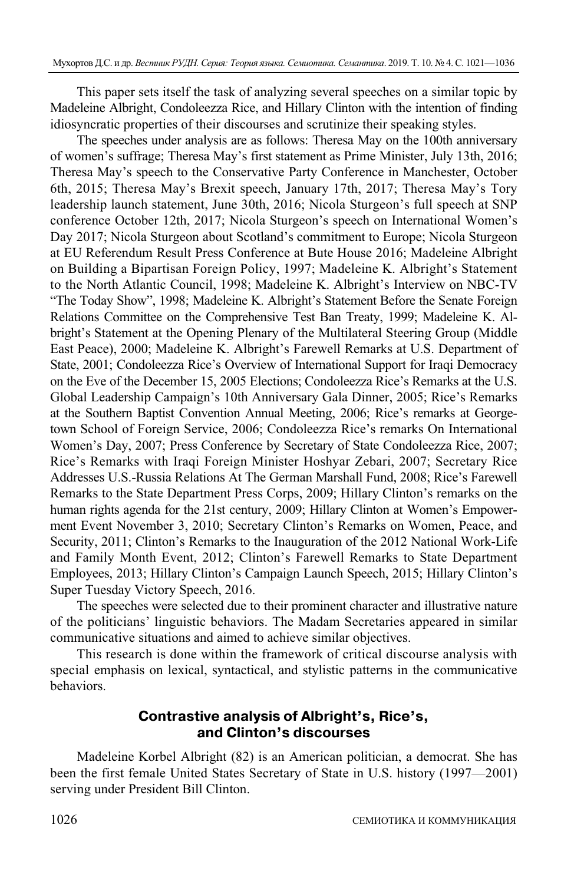This paper sets itself the task of analyzing several speeches on a similar topic by Madeleine Albright, Condoleezza Rice, and Hillary Clinton with the intention of finding idiosyncratic properties of their discourses and scrutinize their speaking styles.

The speeches under analysis are as follows: Theresa May on the 100th anniversary of women's suffrage; Theresa May's first statement as Prime Minister, July 13th, 2016; Theresa May's speech to the Conservative Party Conference in Manchester, October 6th, 2015; Theresa May's Brexit speech, January 17th, 2017; Theresa May's Tory leadership launch statement, June 30th, 2016; Nicola Sturgeon's full speech at SNP conference October 12th, 2017; Nicola Sturgeon's speech on International Women's Day 2017; Nicola Sturgeon about Scotland's commitment to Europe; Nicola Sturgeon at EU Referendum Result Press Conference at Bute House 2016; Madeleine Albright on Building a Bipartisan Foreign Policy, 1997; Madeleine K. Albright's Statement to the North Atlantic Council, 1998; Madeleine K. Albright's Interview on NBC-TV "The Today Show", 1998; Madeleine K. Albright's Statement Before the Senate Foreign Relations Committee on the Comprehensive Test Ban Treaty, 1999; Madeleine K. Albright's Statement at the Opening Plenary of the Multilateral Steering Group (Middle East Peace), 2000; Madeleine K. Albright's Farewell Remarks at U.S. Department of State, 2001; Condoleezza Rice's Overview of International Support for Iraqi Democracy on the Eve of the December 15, 2005 Elections; Condoleezza Rice's Remarks at the U.S. Global Leadership Campaign's 10th Anniversary Gala Dinner, 2005; Rice's Remarks at the Southern Baptist Convention Annual Meeting, 2006; Rice's remarks at Georgetown School of Foreign Service, 2006; Condoleezza Rice's remarks On International Women's Day, 2007; Press Conference by Secretary of State Condoleezza Rice, 2007; Rice's Remarks with Iraqi Foreign Minister Hoshyar Zebari, 2007; Secretary Rice Addresses U.S.-Russia Relations At The German Marshall Fund, 2008; Rice's Farewell Remarks to the State Department Press Corps, 2009; Hillary Clinton's remarks on the human rights agenda for the 21st century, 2009; Hillary Clinton at Women's Empowerment Event November 3, 2010; Secretary Clinton's Remarks on Women, Peace, and Security, 2011; Clinton's Remarks to the Inauguration of the 2012 National Work-Life and Family Month Event, 2012; Clinton's Farewell Remarks to State Department Employees, 2013; Hillary Clinton's Campaign Launch Speech, 2015; Hillary Clinton's Super Tuesday Victory Speech, 2016.

The speeches were selected due to their prominent character and illustrative nature of the politicians' linguistic behaviors. The Madam Secretaries appeared in similar communicative situations and aimed to achieve similar objectives.

This research is done within the framework of critical discourse analysis with special emphasis on lexical, syntactical, and stylistic patterns in the communicative behaviors.

## **Contrastive analysis of Albright's, Rice's, and Clinton's discourses**

Madeleine Korbel Albright (82) is an American politician, a democrat. She has been the first female United States Secretary of State in U.S. history (1997—2001) serving under President Bill Clinton.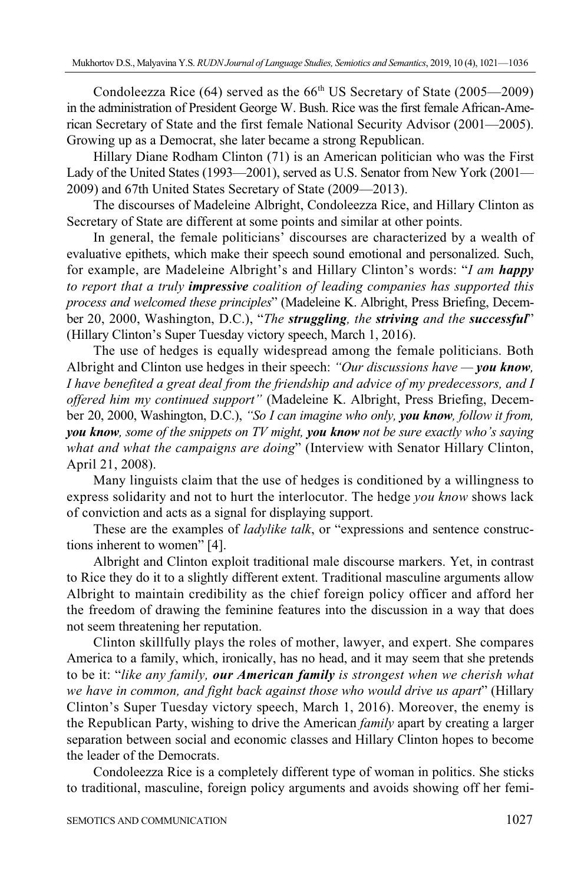Condoleezza Rice  $(64)$  served as the  $66<sup>th</sup> US Secretary of State (2005—2009)$ in the administration of President George W. Bush. Rice was the first female African-American Secretary of State and the first female National Security Advisor (2001—2005). Growing up as a Democrat, she later became a strong Republican.

Hillary Diane Rodham Clinton (71) is an American politician who was the First Lady of the United States (1993—2001), served as U.S. Senator from New York (2001— 2009) and 67th United States Secretary of State (2009—2013).

The discourses of Madeleine Albright, Condoleezza Rice, and Hillary Clinton as Secretary of State are different at some points and similar at other points.

In general, the female politicians' discourses are characterized by a wealth of evaluative epithets, which make their speech sound emotional and personalized. Such, for example, are Madeleine Albright's and Hillary Clinton's words: "*I am happy to report that a truly impressive coalition of leading companies has supported this process and welcomed these principles*" (Madeleine K. Albright, Press Briefing, December 20, 2000, Washington, D.C.), "*The struggling, the striving and the successful*" (Hillary Clinton's Super Tuesday victory speech, March 1, 2016).

The use of hedges is equally widespread among the female politicians. Both Albright and Clinton use hedges in their speech: *"Our discussions have — you know, I have benefited a great deal from the friendship and advice of my predecessors, and I offered him my continued support"* (Madeleine K. Albright, Press Briefing, December 20, 2000, Washington, D.C.), *"So I can imagine who only, you know, follow it from, you know, some of the snippets on TV might, you know not be sure exactly who's saying what and what the campaigns are doing*" (Interview with Senator Hillary Clinton, April 21, 2008).

Many linguists claim that the use of hedges is conditioned by a willingness to express solidarity and not to hurt the interlocutor. The hedge *you know* shows lack of conviction and acts as a signal for displaying support.

These are the examples of *ladylike talk*, or "expressions and sentence constructions inherent to women" [4].

Albright and Clinton exploit traditional male discourse markers. Yet, in contrast to Rice they do it to a slightly different extent. Traditional masculine arguments allow Albright to maintain credibility as the chief foreign policy officer and afford her the freedom of drawing the feminine features into the discussion in a way that does not seem threatening her reputation.

Clinton skillfully plays the roles of mother, lawyer, and expert. She compares America to a family, which, ironically, has no head, and it may seem that she pretends to be it: "*like any family, our American family is strongest when we cherish what we have in common, and fight back against those who would drive us apart*" (Hillary Clinton's Super Tuesday victory speech, March 1, 2016). Moreover, the enemy is the Republican Party, wishing to drive the American *family* apart by creating a larger separation between social and economic classes and Hillary Clinton hopes to become the leader of the Democrats.

Condoleezza Rice is a completely different type of woman in politics. She sticks to traditional, masculine, foreign policy arguments and avoids showing off her femi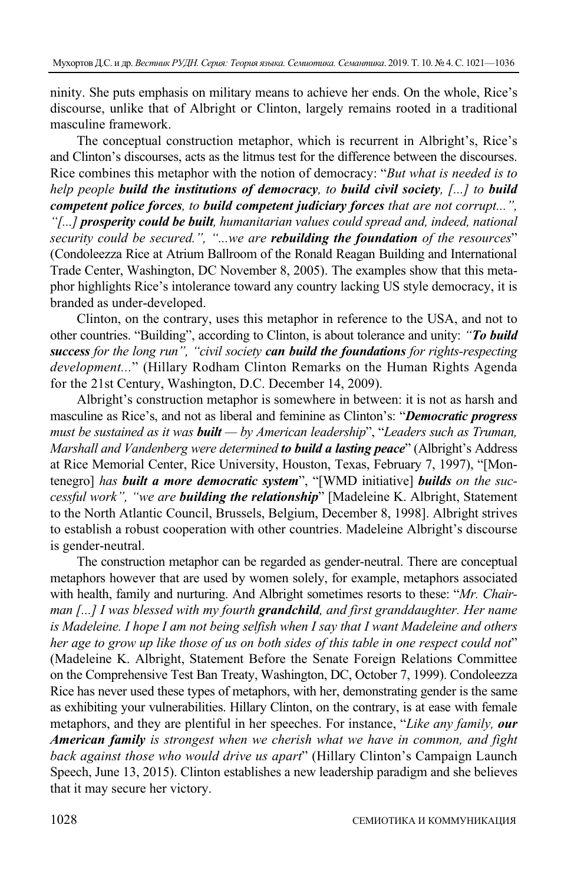ninity. She puts emphasis on military means to achieve her ends. On the whole, Rice's discourse, unlike that of Albright or Clinton, largely remains rooted in a traditional masculine framework.

The conceptual construction metaphor, which is recurrent in Albright's, Rice's and Clinton's discourses, acts as the litmus test for the difference between the discourses. Rice combines this metaphor with the notion of democracy: "*But what is needed is to help people build the institutions of democracy, to build civil society, [...] to build competent police forces, to build competent judiciary forces that are not corrupt...", "[...] prosperity could be built, humanitarian values could spread and, indeed, national security could be secured.", "...we are rebuilding the foundation of the resources*" (Condoleezza Rice at Atrium Ballroom of the Ronald Reagan Building and International Trade Center, Washington, DC November 8, 2005). The examples show that this metaphor highlights Rice's intolerance toward any country lacking US style democracy, it is branded as under-developed.

Clinton, on the contrary, uses this metaphor in reference to the USA, and not to other countries. "Building", according to Clinton, is about tolerance and unity: *"To build success for the long run", "civil society can build the foundations for rights-respecting development...*" (Hillary Rodham Clinton Remarks on the Human Rights Agenda for the 21st Century, Washington, D.C. December 14, 2009).

Albright's construction metaphor is somewhere in between: it is not as harsh and masculine as Rice's, and not as liberal and feminine as Clinton's: "*Democratic progress must be sustained as it was built — by American leadership*", "*Leaders such as Truman, Marshall and Vandenberg were determined to build a lasting peace*" (Albright's Address at Rice Memorial Center, Rice University, Houston, Texas, February 7, 1997), "[Montenegro] *has built a more democratic system*", "[WMD initiative] *builds on the successful work", "we are building the relationship*" [Madeleine K. Albright, Statement to the North Atlantic Council, Brussels, Belgium, December 8, 1998]. Albright strives to establish a robust cooperation with other countries. Madeleine Albright's discourse is gender-neutral.

The construction metaphor can be regarded as gender-neutral. There are conceptual metaphors however that are used by women solely, for example, metaphors associated with health, family and nurturing. And Albright sometimes resorts to these: "*Mr. Chairman [...] I was blessed with my fourth grandchild, and first granddaughter. Her name is Madeleine. I hope I am not being selfish when I say that I want Madeleine and others her age to grow up like those of us on both sides of this table in one respect could not*" (Madeleine K. Albright, Statement Before the Senate Foreign Relations Committee on the Comprehensive Test Ban Treaty, Washington, DC, October 7, 1999). Condoleezza Rice has never used these types of metaphors, with her, demonstrating gender is the same as exhibiting your vulnerabilities. Hillary Clinton, on the contrary, is at ease with female metaphors, and they are plentiful in her speeches. For instance, "*Like any family, our American family is strongest when we cherish what we have in common, and fight back against those who would drive us apart*" (Hillary Clinton's Campaign Launch Speech, June 13, 2015). Clinton establishes a new leadership paradigm and she believes that it may secure her victory.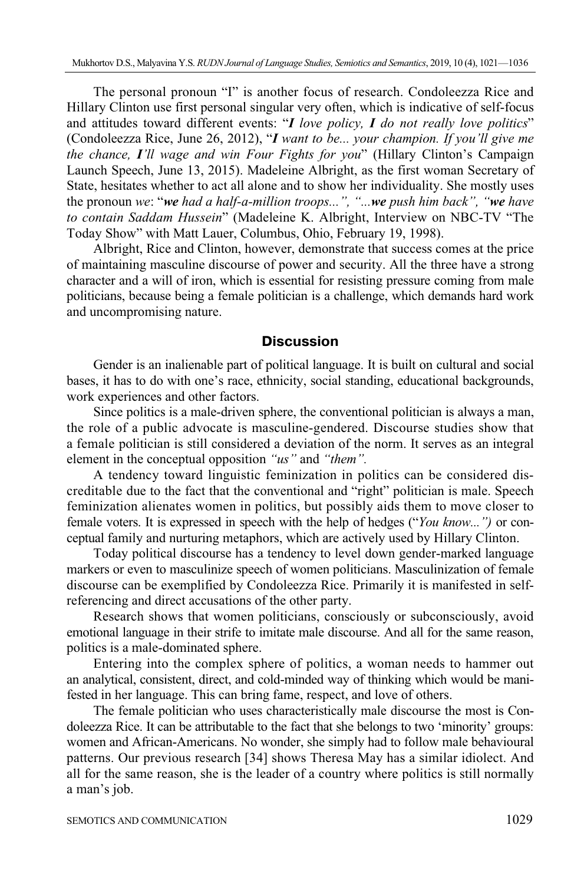The personal pronoun "I" is another focus of research. Condoleezza Rice and Hillary Clinton use first personal singular very often, which is indicative of self-focus and attitudes toward different events: "*I love policy, I do not really love politics*" (Condoleezza Rice, June 26, 2012), "*I want to be... your champion. If you'll give me the chance, I'll wage and win Four Fights for you*" (Hillary Clinton's Campaign Launch Speech, June 13, 2015). Madeleine Albright, as the first woman Secretary of State, hesitates whether to act all alone and to show her individuality. She mostly uses the pronoun *we*: "*we had a half-a-million troops...", "...we push him back", "we have to contain Saddam Hussein*" (Madeleine K. Albright, Interview on NBC-TV "The Today Show" with Matt Lauer, Columbus, Ohio, February 19, 1998).

Albright, Rice and Clinton, however, demonstrate that success comes at the price of maintaining masculine discourse of power and security. All the three have a strong character and a will of iron, which is essential for resisting pressure coming from male politicians, because being a female politician is a challenge, which demands hard work and uncompromising nature.

## **Discussion**

Gender is an inalienable part of political language. It is built on cultural and social bases, it has to do with one's race, ethnicity, social standing, educational backgrounds, work experiences and other factors.

Since politics is a male-driven sphere, the conventional politician is always a man, the role of a public advocate is masculine-gendered. Discourse studies show that a female politician is still considered a deviation of the norm. It serves as an integral element in the conceptual opposition *"us"* and *"them".*

A tendency toward linguistic feminization in politics can be considered discreditable due to the fact that the conventional and "right" politician is male. Speech feminization alienates women in politics, but possibly aids them to move closer to female voters. It is expressed in speech with the help of hedges ("*You know...")* or conceptual family and nurturing metaphors, which are actively used by Hillary Clinton.

Today political discourse has a tendency to level down gender-marked language markers or even to masculinize speech of women politicians. Masculinization of female discourse can be exemplified by Condoleezza Rice. Primarily it is manifested in selfreferencing and direct accusations of the other party.

Research shows that women politicians, consciously or subconsciously, avoid emotional language in their strife to imitate male discourse. And all for the same reason, politics is a male-dominated sphere.

Entering into the complex sphere of politics, a woman needs to hammer out an analytical, consistent, direct, and cold-minded way of thinking which would be manifested in her language. This can bring fame, respect, and love of others.

The female politician who uses characteristically male discourse the most is Condoleezza Rice. It can be attributable to the fact that she belongs to two 'minority' groups: women and African-Americans. No wonder, she simply had to follow male behavioural patterns. Our previous research [34] shows Theresa May has a similar idiolect. And all for the same reason, she is the leader of a country where politics is still normally a man's job.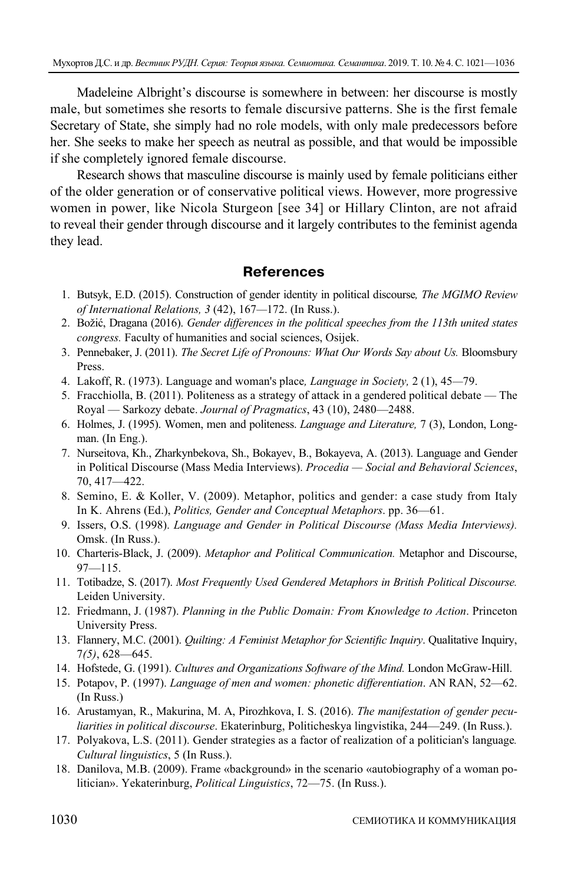Madeleine Albright's discourse is somewhere in between: her discourse is mostly male, but sometimes she resorts to female discursive patterns. She is the first female Secretary of State, she simply had no role models, with only male predecessors before her. She seeks to make her speech as neutral as possible, and that would be impossible if she completely ignored female discourse.

Research shows that masculine discourse is mainly used by female politicians either of the older generation or of conservative political views. However, more progressive women in power, like Nicola Sturgeon [see 34] or Hillary Clinton, are not afraid to reveal their gender through discourse and it largely contributes to the feminist agenda they lead.

## **References**

- 1. Butsyk, E.D. (2015). Construction of gender identity in political discourse*, The MGIMO Review of International Relations, 3* (42), 167*—*172. (In Russ.).
- 2. Božić, Dragana (2016). *Gender differences in the political speeches from the 113th united states congress.* Faculty of humanities and social sciences, Osijek.
- 3. Pennebaker, J. (2011). *The Secret Life of Pronouns: What Our Words Say about Us.* Bloomsbury Press.
- 4. Lakoff, R. (1973). Language and woman's place*, Language in Society,* 2 (1), 45*—*79.
- 5. Fracchiolla, B. (2011). Politeness as a strategy of attack in a gendered political debate The Royal — Sarkozy debate. *Journal of Pragmatics*, 43 (10), 2480—2488.
- 6. Holmes, J. (1995). Women, men and politeness. *Language and Literature,* 7 (3), London, Longman. (In Eng.).
- 7. Nurseitova, Kh., Zharkynbekova, Sh., Bokayev, B., Bokayeva, A. (2013). Language and Gender in Political Discourse (Mass Media Interviews). *Procedia — Social and Behavioral Sciences*, 70, 417—422.
- 8. Semino, E. & Koller, V. (2009). Metaphor, politics and gender: a case study from Italy In K. Ahrens (Ed.), *Politics, Gender and Conceptual Metaphors*. pp. 36—61.
- 9. Issers, O.S. (1998). *Language and Gender in Political Discourse (Mass Media Interviews).*  Omsk. (In Russ.).
- 10. Charteris-Black, J. (2009). *Metaphor and Political Communication.* Metaphor and Discourse,  $97 - 115$ .
- 11. Totibadze, S. (2017). *Most Frequently Used Gendered Metaphors in British Political Discourse.* Leiden University.
- 12. Friedmann, J. (1987). *Planning in the Public Domain: From Knowledge to Action*. Princeton University Press.
- 13. Flannery, M.C. (2001). *Quilting: A Feminist Metaphor for Scientific Inquiry*. Qualitative Inquiry, 7*(5)*, 628—645.
- 14. Hofstede, G. (1991). *Cultures and Organizations Software of the Mind.* London McGraw-Hill.
- 15. Potapov, P. (1997). *Language of men and women: phonetic differentiation*. AN RAN, 52—62. (In Russ.)
- 16. Arustamyan, R., Makurina, M. A, Pirozhkova, I. S. (2016). *The manifestation of gender peculiarities in political discourse*. Ekaterinburg, Politicheskya lingvistika, 244—249. (In Russ.).
- 17. Polyakova, L.S. (2011). Gender strategies as a factor of realization of a politician's language*. Cultural linguistics*, 5 (In Russ.).
- 18. Danilova, M.B. (2009). Frame «background» in the scenario «autobiography of a woman politician». Yekaterinburg, *Political Linguistics*, 72—75. (In Russ.).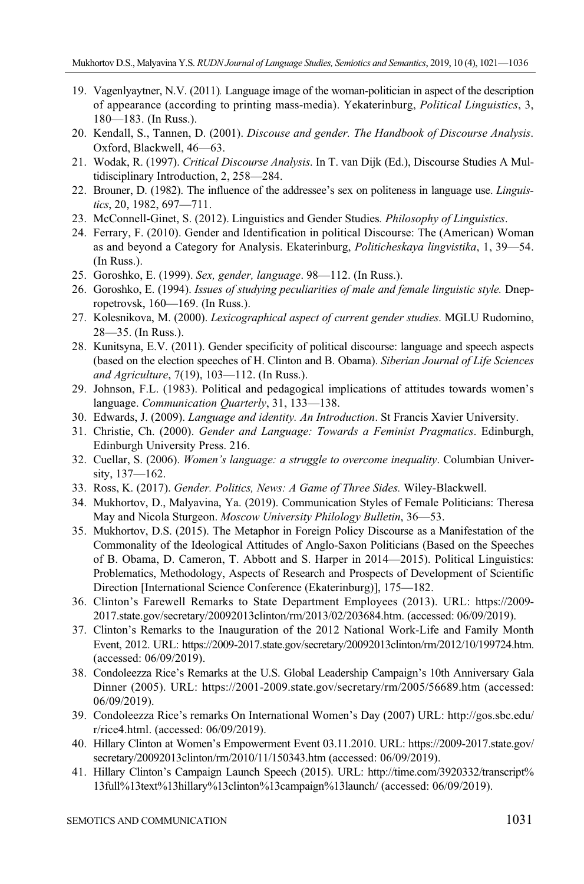- 19. Vagenlyaytner, N.V. (2011)*.* Language image of the woman-politician in aspect of the description of appearance (according to printing mass-media). Yekaterinburg, *Political Linguistics*, 3, 180—183. (In Russ.).
- 20. Kendall, S., Tannen, D. (2001). *Discouse and gender. The Handbook of Discourse Analysis*. Oxford, Blackwell, 46—63.
- 21. Wodak, R. (1997). *Critical Discourse Analysis*. In T. van Dijk (Ed.), Discourse Studies A Multidisciplinary Introduction, 2, 258—284.
- 22. Brouner, D. (1982). The influence of the addressee's sex on politeness in language use. *Linguistics*, 20, 1982, 697—711.
- 23. McConnell-Ginet, S. (2012). Linguistics and Gender Studies*. Philosophy of Linguistics*.
- 24. Ferrary, F. (2010). Gender and Identification in political Discourse: The (American) Woman as and beyond a Category for Analysis. Ekaterinburg, *Politicheskaya lingvistika*, 1, 39—54. (In Russ.).
- 25. Goroshko, E. (1999). *Sex, gender, language*. 98—112. (In Russ.).
- 26. Goroshko, E. (1994). *Issues of studying peculiarities of male and female linguistic style.* Dnepropetrovsk, 160—169. (In Russ.).
- 27. Kolesnikova, M. (2000). *Lexicographical aspect of current gender studies*. MGLU Rudomino, 28—35. (In Russ.).
- 28. Kunitsyna, E.V. (2011). Gender specificity of political discourse: language and speech aspects (based on the election speeches of H. Clinton and B. Obama). *Siberian Journal of Life Sciences and Agriculture*, 7(19), 103—112. (In Russ.).
- 29. Johnson, F.L. (1983). Political and pedagogical implications of attitudes towards women's language. *Communication Quarterly*, 31, 133—138.
- 30. Edwards, J. (2009). *Language and identity. An Introduction*. St Francis Xavier University.
- 31. Christie, Ch. (2000). *Gender and Language: Towards a Feminist Pragmatics*. Edinburgh, Edinburgh University Press. 216.
- 32. Cuellar, S. (2006). *Women's language: a struggle to overcome inequality*. Columbian University, 137—162.
- 33. Ross, K. (2017). *Gender. Politics, News: A Game of Three Sides.* Wiley-Blackwell.
- 34. Mukhortov, D., Malyavina, Ya. (2019). Communication Styles of Female Politicians: Theresa May and Nicola Sturgeon. *Moscow University Philology Bulletin*, 36—53.
- 35. Mukhortov, D.S. (2015). The Metaphor in Foreign Policy Discourse as a Manifestation of the Commonality of the Ideological Attitudes of Anglo-Saxon Politicians (Based on the Speeches of B. Obama, D. Cameron, T. Abbott and S. Harper in 2014—2015). Political Linguistics: Problematics, Methodology, Aspects of Research and Prospects of Development of Scientific Direction [International Science Conference (Ekaterinburg)], 175—182.
- 36. Clinton's Farewell Remarks to State Department Employees (2013). URL: https://2009- 2017.state.gov/secretary/20092013clinton/rm/2013/02/203684.htm. (accessed: 06/09/2019).
- 37. Clinton's Remarks to the Inauguration of the 2012 National Work-Life and Family Month Event, 2012. URL: https://2009-2017.state.gov/secretary/20092013clinton/rm/2012/10/199724.htm. (accessed: 06/09/2019).
- 38. Condoleezza Rice's Remarks at the U.S. Global Leadership Campaign's 10th Anniversary Gala Dinner (2005). URL: https://2001-2009.state.gov/secretary/rm/2005/56689.htm (accessed: 06/09/2019).
- 39. Condoleezza Rice's remarks On International Women's Day (2007) URL: http://gos.sbc.edu/ r/rice4.html. (accessed: 06/09/2019).
- 40. Hillary Clinton at Women's Empowerment Event 03.11.2010. URL: https://2009-2017.state.gov/ secretary/20092013clinton/rm/2010/11/150343.htm (accessed: 06/09/2019).
- 41. Hillary Clinton's Campaign Launch Speech (2015). URL: http://time.com/3920332/transcript% 13full%13text%13hillary%13clinton%13campaign%13launch/ (accessed: 06/09/2019).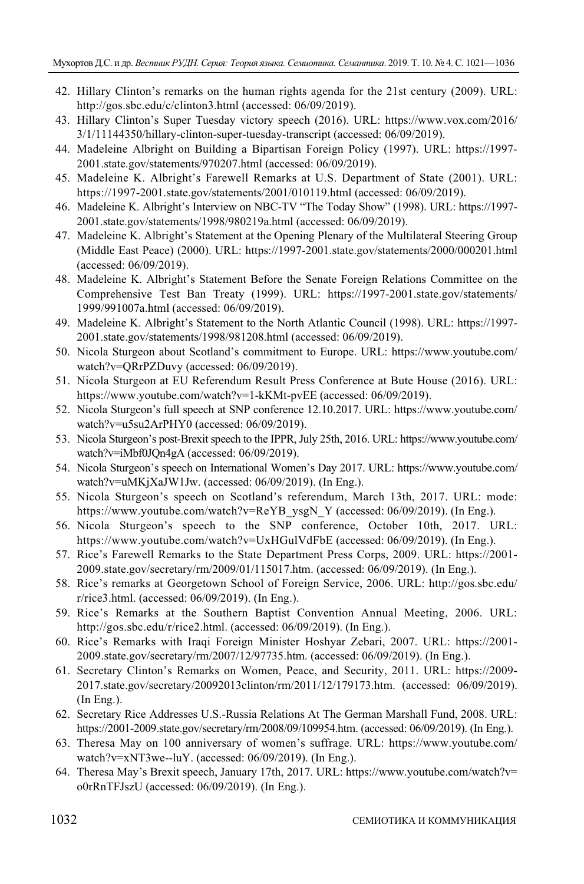- 42. Hillary Clinton's remarks on the human rights agenda for the 21st century (2009). URL: http://gos.sbc.edu/c/clinton3.html (accessed: 06/09/2019).
- 43. Hillary Clinton's Super Tuesday victory speech (2016). URL: https://www.vox.com/2016/ 3/1/11144350/hillary-clinton-super-tuesday-transcript (accessed: 06/09/2019).
- 44. Madeleine Albright on Building a Bipartisan Foreign Policy (1997). URL: https://1997- 2001.state.gov/statements/970207.html (accessed: 06/09/2019).
- 45. Madeleine K. Albright's Farewell Remarks at U.S. Department of State (2001). URL: https://1997-2001.state.gov/statements/2001/010119.html (accessed: 06/09/2019).
- 46. Madeleine K. Albright's Interview on NBC-TV "The Today Show" (1998). URL: https://1997- 2001.state.gov/statements/1998/980219a.html (accessed: 06/09/2019).
- 47. Madeleine K. Albright's Statement at the Opening Plenary of the Multilateral Steering Group (Middle East Peace) (2000). URL: https://1997-2001.state.gov/statements/2000/000201.html (accessed: 06/09/2019).
- 48. Madeleine K. Albright's Statement Before the Senate Foreign Relations Committee on the Comprehensive Test Ban Treaty (1999). URL: https://1997-2001.state.gov/statements/ 1999/991007a.html (accessed: 06/09/2019).
- 49. Madeleine K. Albright's Statement to the North Atlantic Council (1998). URL: https://1997- 2001.state.gov/statements/1998/981208.html (accessed: 06/09/2019).
- 50. Nicola Sturgeon about Scotland's commitment to Europe. URL: https://www.youtube.com/ watch?v=QRrPZDuvy (accessed: 06/09/2019).
- 51. Nicola Sturgeon at EU Referendum Result Press Conference at Bute House (2016). URL: https://www.youtube.com/watch?v=1-kKMt-pvEE (accessed: 06/09/2019).
- 52. Nicola Sturgeon's full speech at SNP conference 12.10.2017. URL: https://www.youtube.com/ watch?v=u5su2ArPHY0 (accessed: 06/09/2019).
- 53. Nicola Sturgeon's post-Brexit speech to the IPPR, July 25th, 2016. URL: https://www.youtube.com/ watch?v=iMbf0JQn4gA (accessed: 06/09/2019).
- 54. Nicola Sturgeon's speech on International Women's Day 2017. URL: https://www.youtube.com/ watch?v=uMKjXaJW1Jw. (accessed: 06/09/2019). (In Eng.).
- 55. Nicola Sturgeon's speech on Scotland's referendum, March 13th, 2017. URL: mode: https://www.youtube.com/watch?v=ReYB\_ysgN\_Y (accessed: 06/09/2019). (In Eng.).
- 56. Nicola Sturgeon's speech to the SNP conference, October 10th, 2017. URL: https://www.youtube.com/watch?v=UxHGulVdFbE (accessed: 06/09/2019). (In Eng.).
- 57. Rice's Farewell Remarks to the State Department Press Corps, 2009. URL: https://2001- 2009.state.gov/secretary/rm/2009/01/115017.htm. (accessed: 06/09/2019). (In Eng.).
- 58. Rice's remarks at Georgetown School of Foreign Service, 2006. URL: http://gos.sbc.edu/ r/rice3.html. (accessed: 06/09/2019). (In Eng.).
- 59. Rice's Remarks at the Southern Baptist Convention Annual Meeting, 2006. URL: http://gos.sbc.edu/r/rice2.html. (accessed: 06/09/2019). (In Eng.).
- 60. Rice's Remarks with Iraqi Foreign Minister Hoshyar Zebari, 2007. URL: https://2001- 2009.state.gov/secretary/rm/2007/12/97735.htm. (accessed: 06/09/2019). (In Eng.).
- 61. Secretary Clinton's Remarks on Women, Peace, and Security, 2011. URL: https://2009- 2017.state.gov/secretary/20092013clinton/rm/2011/12/179173.htm. (accessed: 06/09/2019). (In Eng.).
- 62. Secretary Rice Addresses U.S.-Russia Relations At The German Marshall Fund, 2008. URL: https://2001-2009.state.gov/secretary/rm/2008/09/109954.htm. (accessed: 06/09/2019). (In Eng.).
- 63. Theresa May on 100 anniversary of women's suffrage. URL: https://www.youtube.com/ watch?v=xNT3we--luY. (accessed: 06/09/2019). (In Eng.).
- 64. Theresa May's Brexit speech, January 17th, 2017. URL: https://www.youtube.com/watch?v= o0rRnTFJszU (accessed: 06/09/2019). (In Eng.).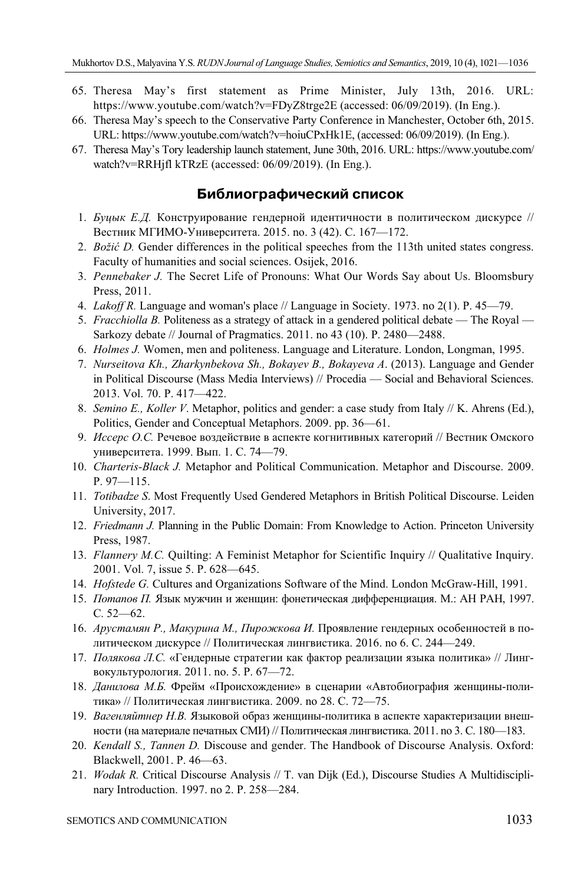- 65. Theresa May's first statement as Prime Minister, July 13th, 2016. URL: https://www.youtube.com/watch?v=FDyZ8trge2E (accessed: 06/09/2019). (In Eng.).
- 66. Theresa May's speech to the Conservative Party Conference in Manchester, October 6th, 2015. URL: https://www.youtube.com/watch?v=hoiuCPxHk1E, (accessed: 06/09/2019). (In Eng.).
- 67. Theresa May's Tory leadership launch statement, June 30th, 2016. URL: https://www.youtube.com/ watch?v=RRHjfl kTRzE (accessed: 06/09/2019). (In Eng.).

## **Библиографический список**

- 1. *Буцык Е.Д.* Конструирование гендерной идентичности в политическом дискурсе // Вестник МГИМО-Университета. 2015. no. 3 (42). C. 167—172.
- 2. *Božić D.* Gender differences in the political speeches from the 113th united states congress. Faculty of humanities and social sciences. Osijek, 2016.
- 3. *Pennebaker J.* The Secret Life of Pronouns: What Our Words Say about Us. Bloomsbury Press, 2011.
- 4. *Lakoff R.* Language and woman's place // Language in Society. 1973. no 2(1). P. 45—79.
- 5. *Fracchiolla B.* Politeness as a strategy of attack in a gendered political debate The Royal Sarkozy debate // Journal of Pragmatics. 2011. no 43 (10). P. 2480—2488.
- 6. *Holmes J.* Women, men and politeness. Language and Literature. London, Longman, 1995.
- 7. *Nurseitova Kh., Zharkynbekova Sh., Bokayev B., Bokayeva A*. (2013). Language and Gender in Political Discourse (Mass Media Interviews) // Procedia — Social and Behavioral Sciences. 2013. Vol. 70. P. 417—422.
- 8. *Semino E., Koller V*. Metaphor, politics and gender: a case study from Italy // K. Ahrens (Ed.), Politics, Gender and Conceptual Metaphors. 2009. pp. 36—61.
- 9. *Иссерс О.С.* Речевое воздействие в аспекте когнитивных категорий // Вестник Омского университета. 1999. Вып. 1. С. 74—79.
- 10. *Charteris-Black J.* Metaphor and Political Communication. Metaphor and Discourse. 2009. P. 97—115.
- 11. *Totibadze S*. Most Frequently Used Gendered Metaphors in British Political Discourse. Leiden University, 2017.
- 12. *Friedmann J.* Planning in the Public Domain: From Knowledge to Action. Princeton University Press, 1987.
- 13. *Flannery M.C.* Quilting: A Feminist Metaphor for Scientific Inquiry // Qualitative Inquiry. 2001. Vol. 7, issue 5. P. 628—645.
- 14. *Hofstede G.* Cultures and Organizations Software of the Mind. London McGraw-Hill, 1991.
- 15. *Потапов П.* Язык мужчин и женщин: фонетическая дифференциация. М.: АН РАН, 1997. С. 52—62.
- 16. *Арустамян P., Макурина М., Пирожкова И.* Проявление гендерных особенностей в политическом дискурсе // Политическая лингвистика. 2016. no 6. C. 244—249.
- 17. *Полякова Л.С.* «Гендерные стратегии как фактор реализации языка политика» // Лингвокультурология. 2011. no. 5. P. 67—72.
- 18. *Данилова М.Б.* Фрейм «Происхождение» в сценарии «Автобиография женщины-политика» // Политическая лингвистика. 2009. no 28. С. 72—75.
- 19. *Вагенляйтнер Н.В.* Языковой образ женщины-политика в аспекте характеризации внешности (на материале печатных СМИ) // Политическая лингвистика. 2011. no 3. С. 180—183.
- 20. *Kendall S., Tannen D.* Discouse and gender. The Handbook of Discourse Analysis. Oxford: Blackwell, 2001. P. 46—63.
- 21. *Wodak R.* Critical Discourse Analysis // T. van Dijk (Ed.), Discourse Studies A Multidisciplinary Introduction. 1997. no 2. P. 258—284.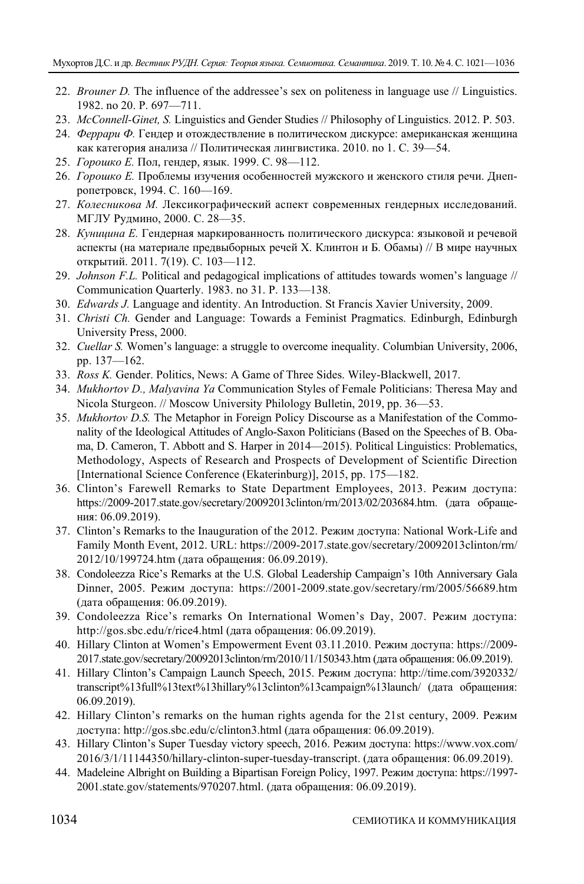- 22. *Brouner D.* The influence of the addressee's sex on politeness in language use // Linguistics. 1982. no 20. P. 697—711.
- 23. *McConnell-Ginet, S.* Linguistics and Gender Studies // Philosophy of Linguistics. 2012. P. 503.
- 24. *Феррари Ф.* Гендер и отождествление в политическом дискурсе: американская женщина как категория анализа // Политическая лингвистика. 2010. no 1. С. 39—54.
- 25. *Горошко Е.* Пол, гендер, язык. 1999. С. 98—112.
- 26. *Горошко Е.* Проблемы изучения особенностей мужского и женского стиля речи. Днепропетровск, 1994. С. 160—169.
- 27. *Колесникова М.* Лексикографический аспект современных гендерных исследований. МГЛУ Рудмино, 2000. С. 28—35.
- 28. *Куницина Е.* Гендерная маркированность политического дискурса: языковой и речевой аспекты (на материале предвыборных речей Х. Клинтон и Б. Обамы) // В мире научных открытий. 2011. 7(19). С. 103—112.
- 29. *Johnson F.L.* Political and pedagogical implications of attitudes towards women's language // Communication Quarterly. 1983. no 31. P. 133—138.
- 30. *Edwards J.* Language and identity. An Introduction. St Francis Xavier University, 2009.
- 31. *Christi Ch.* Gender and Language: Towards a Feminist Pragmatics. Edinburgh, Edinburgh University Press, 2000.
- 32. *Cuellar S.* Women's language: a struggle to overcome inequality. Columbian University, 2006, pp. 137—162.
- 33. *Ross K.* Gender. Politics, News: A Game of Three Sides. Wiley-Blackwell, 2017.
- 34. *Mukhortov D., Malyavina Ya* Communication Styles of Female Politicians: Theresa May and Nicola Sturgeon. // Moscow University Philology Bulletin, 2019, pp. 36—53.
- 35. *Mukhortov D.S.* The Metaphor in Foreign Policy Discourse as a Manifestation of the Commonality of the Ideological Attitudes of Anglo-Saxon Politicians (Based on the Speeches of B. Obama, D. Cameron, T. Abbott and S. Harper in 2014—2015). Political Linguistics: Problematics, Methodology, Aspects of Research and Prospects of Development of Scientific Direction [International Science Conference (Ekaterinburg)], 2015, pp. 175—182.
- 36. Clinton's Farewell Remarks to State Department Employees, 2013. Режим доступа: https://2009-2017.state.gov/secretary/20092013clinton/rm/2013/02/203684.htm. (дата обращения: 06.09.2019).
- 37. Clinton's Remarks to the Inauguration of the 2012. Режим доступа: National Work-Life and Family Month Event, 2012. URL: https://2009-2017.state.gov/secretary/20092013clinton/rm/ 2012/10/199724.htm (дата обращения: 06.09.2019).
- 38. Condoleezza Rice's Remarks at the U.S. Global Leadership Campaign's 10th Anniversary Gala Dinner, 2005. Режим доступа: https://2001-2009.state.gov/secretary/rm/2005/56689.htm (дата обращения: 06.09.2019).
- 39. Condoleezza Rice's remarks On International Women's Day, 2007. Режим доступа: http://gos.sbc.edu/r/rice4.html (дата обращения: 06.09.2019).
- 40. Hillary Clinton at Women's Empowerment Event 03.11.2010. Режим доступа: https://2009- 2017.state.gov/secretary/20092013clinton/rm/2010/11/150343.htm (дата обращения: 06.09.2019).
- 41. Hillary Clinton's Campaign Launch Speech, 2015. Режим доступа: http://time.com/3920332/ transcript%13full%13text%13hillary%13clinton%13campaign%13launch/ (дата обращения: 06.09.2019).
- 42. Hillary Clinton's remarks on the human rights agenda for the 21st century, 2009. Режим доступа: http://gos.sbc.edu/c/clinton3.html (дата обращения: 06.09.2019).
- 43. Hillary Clinton's Super Tuesday victory speech, 2016. Режим доступа: https://www.vox.com/ 2016/3/1/11144350/hillary-clinton-super-tuesday-transcript. (дата обращения: 06.09.2019).
- 44. Madeleine Albright on Building a Bipartisan Foreign Policy, 1997. Режим доступа: https://1997- 2001.state.gov/statements/970207.html. (дата обращения: 06.09.2019).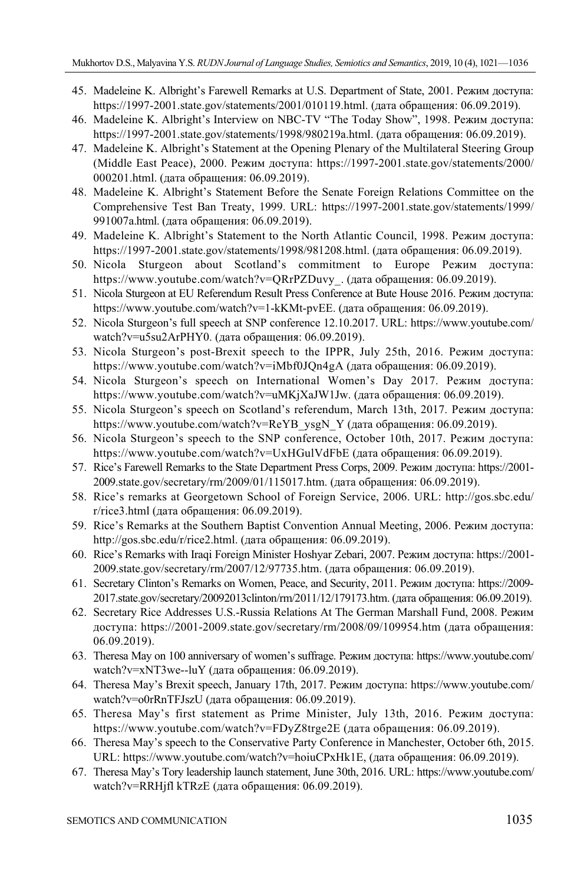- 45. Madeleine K. Albright's Farewell Remarks at U.S. Department of State, 2001. Режим доступа: https://1997-2001.state.gov/statements/2001/010119.html. (дата обращения: 06.09.2019).
- 46. Madeleine K. Albright's Interview on NBC-TV "The Today Show", 1998. Режим доступа: https://1997-2001.state.gov/statements/1998/980219a.html. (дата обращения: 06.09.2019).
- 47. Madeleine K. Albright's Statement at the Opening Plenary of the Multilateral Steering Group (Middle East Peace), 2000. Режим доступа: https://1997-2001.state.gov/statements/2000/ 000201.html. (дата обращения: 06.09.2019).
- 48. Madeleine K. Albright's Statement Before the Senate Foreign Relations Committee on the Comprehensive Test Ban Treaty, 1999. URL: https://1997-2001.state.gov/statements/1999/ 991007a.html. (дата обращения: 06.09.2019).
- 49. Madeleine K. Albright's Statement to the North Atlantic Council, 1998. Режим доступа: https://1997-2001.state.gov/statements/1998/981208.html. (дата обращения: 06.09.2019).
- 50. Nicola Sturgeon about Scotland's commitment to Europe Режим доступа: https://www.youtube.com/watch?v=QRrPZDuvy\_. (дата обращения: 06.09.2019).
- 51. Nicola Sturgeon at EU Referendum Result Press Conference at Bute House 2016. Режим доступа: https://www.youtube.com/watch?v=1-kKMt-pvEE. (дата обращения: 06.09.2019).
- 52. Nicola Sturgeon's full speech at SNP conference 12.10.2017. URL: https://www.youtube.com/ watch?v=u5su2ArPHY0. (дата обращения: 06.09.2019).
- 53. Nicola Sturgeon's post-Brexit speech to the IPPR, July 25th, 2016. Режим доступа: https://www.youtube.com/watch?v=iMbf0JQn4gA (дата обращения: 06.09.2019).
- 54. Nicola Sturgeon's speech on International Women's Day 2017. Режим доступа: https://www.youtube.com/watch?v=uMKjXaJW1Jw. (дата обращения: 06.09.2019).
- 55. Nicola Sturgeon's speech on Scotland's referendum, March 13th, 2017. Режим доступа: https://www.youtube.com/watch?v=ReYB\_ysgN\_Y (дата обращения: 06.09.2019).
- 56. Nicola Sturgeon's speech to the SNP conference, October 10th, 2017. Режим доступа: https://www.youtube.com/watch?v=UxHGulVdFbE (дата обращения: 06.09.2019).
- 57. Rice's Farewell Remarks to the State Department Press Corps, 2009. Режим доступа: https://2001- 2009.state.gov/secretary/rm/2009/01/115017.htm. (дата обращения: 06.09.2019).
- 58. Rice's remarks at Georgetown School of Foreign Service, 2006. URL: http://gos.sbc.edu/ r/rice3.html (дата обращения: 06.09.2019).
- 59. Rice's Remarks at the Southern Baptist Convention Annual Meeting, 2006. Режим доступа: http://gos.sbc.edu/r/rice2.html. (дата обращения: 06.09.2019).
- 60. Rice's Remarks with Iraqi Foreign Minister Hoshyar Zebari, 2007. Режим доступа: https://2001- 2009.state.gov/secretary/rm/2007/12/97735.htm. (дата обращения: 06.09.2019).
- 61. Secretary Clinton's Remarks on Women, Peace, and Security, 2011. Режим доступа: https://2009- 2017.state.gov/secretary/20092013clinton/rm/2011/12/179173.htm. (дата обращения: 06.09.2019).
- 62. Secretary Rice Addresses U.S.-Russia Relations At The German Marshall Fund, 2008. Режим доступа: https://2001-2009.state.gov/secretary/rm/2008/09/109954.htm (дата обращения: 06.09.2019).
- 63. Theresa May on 100 anniversary of women's suffrage. Режим доступа: https://www.youtube.com/ watch?v=xNT3we--luY (дата обращения: 06.09.2019).
- 64. Theresa May's Brexit speech, January 17th, 2017. Режим доступа: https://www.youtube.com/ watch?v=o0rRnTFJszU (дата обращения: 06.09.2019).
- 65. Theresa May's first statement as Prime Minister, July 13th, 2016. Режим доступа: https://www.youtube.com/watch?v=FDyZ8trge2E (дата обращения: 06.09.2019).
- 66. Theresa May's speech to the Conservative Party Conference in Manchester, October 6th, 2015. URL: https://www.youtube.com/watch?v=hoiuCPxHk1E, (дата обращения: 06.09.2019).
- 67. Theresa May's Tory leadership launch statement, June 30th, 2016. URL: https://www.youtube.com/ watch?v=RRHjfl kTRzE (дата обращения: 06.09.2019).